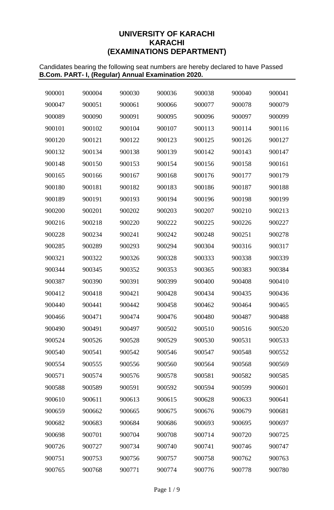## **UNIVERSITY OF KARACHI KARACHI (EXAMINATIONS DEPARTMENT)**

Candidates bearing the following seat numbers are hereby declared to have Passed **B.Com. PART- I, (Regular) Annual Examination 2020.**

| 900001 | 900004 | 900030 | 900036 | 900038 | 900040 | 900041 |
|--------|--------|--------|--------|--------|--------|--------|
| 900047 | 900051 | 900061 | 900066 | 900077 | 900078 | 900079 |
| 900089 | 900090 | 900091 | 900095 | 900096 | 900097 | 900099 |
| 900101 | 900102 | 900104 | 900107 | 900113 | 900114 | 900116 |
| 900120 | 900121 | 900122 | 900123 | 900125 | 900126 | 900127 |
| 900132 | 900134 | 900138 | 900139 | 900142 | 900143 | 900147 |
| 900148 | 900150 | 900153 | 900154 | 900156 | 900158 | 900161 |
| 900165 | 900166 | 900167 | 900168 | 900176 | 900177 | 900179 |
| 900180 | 900181 | 900182 | 900183 | 900186 | 900187 | 900188 |
| 900189 | 900191 | 900193 | 900194 | 900196 | 900198 | 900199 |
| 900200 | 900201 | 900202 | 900203 | 900207 | 900210 | 900213 |
| 900216 | 900218 | 900220 | 900222 | 900225 | 900226 | 900227 |
| 900228 | 900234 | 900241 | 900242 | 900248 | 900251 | 900278 |
| 900285 | 900289 | 900293 | 900294 | 900304 | 900316 | 900317 |
| 900321 | 900322 | 900326 | 900328 | 900333 | 900338 | 900339 |
| 900344 | 900345 | 900352 | 900353 | 900365 | 900383 | 900384 |
| 900387 | 900390 | 900391 | 900399 | 900400 | 900408 | 900410 |
| 900412 | 900418 | 900421 | 900428 | 900434 | 900435 | 900436 |
| 900440 | 900441 | 900442 | 900458 | 900462 | 900464 | 900465 |
| 900466 | 900471 | 900474 | 900476 | 900480 | 900487 | 900488 |
| 900490 | 900491 | 900497 | 900502 | 900510 | 900516 | 900520 |
| 900524 | 900526 | 900528 | 900529 | 900530 | 900531 | 900533 |
| 900540 | 900541 | 900542 | 900546 | 900547 | 900548 | 900552 |
| 900554 | 900555 | 900556 | 900560 | 900564 | 900568 | 900569 |
| 900571 | 900574 | 900576 | 900578 | 900581 | 900582 | 900585 |
| 900588 | 900589 | 900591 | 900592 | 900594 | 900599 | 900601 |
| 900610 | 900611 | 900613 | 900615 | 900628 | 900633 | 900641 |
| 900659 | 900662 | 900665 | 900675 | 900676 | 900679 | 900681 |
| 900682 | 900683 | 900684 | 900686 | 900693 | 900695 | 900697 |
| 900698 | 900701 | 900704 | 900708 | 900714 | 900720 | 900725 |
| 900726 | 900727 | 900734 | 900740 | 900741 | 900746 | 900747 |
| 900751 | 900753 | 900756 | 900757 | 900758 | 900762 | 900763 |
| 900765 | 900768 | 900771 | 900774 | 900776 | 900778 | 900780 |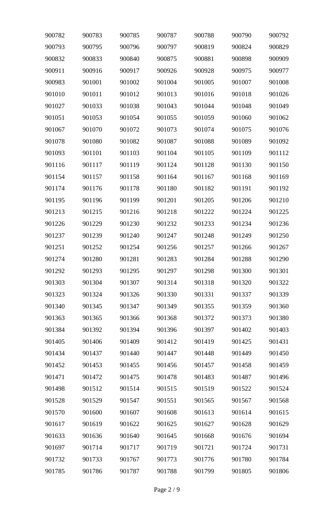| 900782 | 900783 | 900785 | 900787 | 900788 | 900790 | 900792 |
|--------|--------|--------|--------|--------|--------|--------|
| 900793 | 900795 | 900796 | 900797 | 900819 | 900824 | 900829 |
| 900832 | 900833 | 900840 | 900875 | 900881 | 900898 | 900909 |
| 900911 | 900916 | 900917 | 900926 | 900928 | 900975 | 900977 |
| 900983 | 901001 | 901002 | 901004 | 901005 | 901007 | 901008 |
| 901010 | 901011 | 901012 | 901013 | 901016 | 901018 | 901026 |
| 901027 | 901033 | 901038 | 901043 | 901044 | 901048 | 901049 |
| 901051 | 901053 | 901054 | 901055 | 901059 | 901060 | 901062 |
| 901067 | 901070 | 901072 | 901073 | 901074 | 901075 | 901076 |
| 901078 | 901080 | 901082 | 901087 | 901088 | 901089 | 901092 |
| 901093 | 901101 | 901103 | 901104 | 901105 | 901109 | 901112 |
| 901116 | 901117 | 901119 | 901124 | 901128 | 901130 | 901150 |
| 901154 | 901157 | 901158 | 901164 | 901167 | 901168 | 901169 |
| 901174 | 901176 | 901178 | 901180 | 901182 | 901191 | 901192 |
| 901195 | 901196 | 901199 | 901201 | 901205 | 901206 | 901210 |
| 901213 | 901215 | 901216 | 901218 | 901222 | 901224 | 901225 |
| 901226 | 901229 | 901230 | 901232 | 901233 | 901234 | 901236 |
| 901237 | 901239 | 901240 | 901247 | 901248 | 901249 | 901250 |
| 901251 | 901252 | 901254 | 901256 | 901257 | 901266 | 901267 |
| 901274 | 901280 | 901281 | 901283 | 901284 | 901288 | 901290 |
| 901292 | 901293 | 901295 | 901297 | 901298 | 901300 | 901301 |
| 901303 | 901304 | 901307 | 901314 | 901318 | 901320 | 901322 |
| 901323 | 901324 | 901326 | 901330 | 901331 | 901337 | 901339 |
| 901340 | 901345 | 901347 | 901349 | 901355 | 901359 | 901360 |
| 901363 | 901365 | 901366 | 901368 | 901372 | 901373 | 901380 |
| 901384 | 901392 | 901394 | 901396 | 901397 | 901402 | 901403 |
| 901405 | 901406 | 901409 | 901412 | 901419 | 901425 | 901431 |
| 901434 | 901437 | 901440 | 901447 | 901448 | 901449 | 901450 |
| 901452 | 901453 | 901455 | 901456 | 901457 | 901458 | 901459 |
| 901471 | 901472 | 901475 | 901478 | 901483 | 901487 | 901496 |
| 901498 | 901512 | 901514 | 901515 | 901519 | 901522 | 901524 |
| 901528 | 901529 | 901547 | 901551 | 901565 | 901567 | 901568 |
| 901570 | 901600 | 901607 | 901608 | 901613 | 901614 | 901615 |
| 901617 | 901619 | 901622 | 901625 | 901627 | 901628 | 901629 |
| 901633 | 901636 | 901640 | 901645 | 901668 | 901676 | 901694 |
| 901697 | 901714 | 901717 | 901719 | 901721 | 901724 | 901731 |
| 901732 | 901733 | 901767 | 901773 | 901776 | 901780 | 901784 |
| 901785 | 901786 | 901787 | 901788 | 901799 | 901805 | 901806 |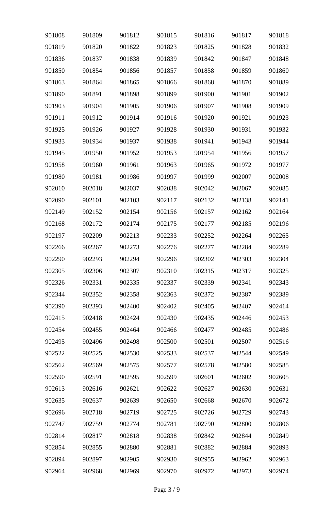| 901808 | 901809 | 901812 | 901815 | 901816 | 901817 | 901818 |
|--------|--------|--------|--------|--------|--------|--------|
| 901819 | 901820 | 901822 | 901823 | 901825 | 901828 | 901832 |
| 901836 | 901837 | 901838 | 901839 | 901842 | 901847 | 901848 |
| 901850 | 901854 | 901856 | 901857 | 901858 | 901859 | 901860 |
| 901863 | 901864 | 901865 | 901866 | 901868 | 901870 | 901889 |
| 901890 | 901891 | 901898 | 901899 | 901900 | 901901 | 901902 |
| 901903 | 901904 | 901905 | 901906 | 901907 | 901908 | 901909 |
| 901911 | 901912 | 901914 | 901916 | 901920 | 901921 | 901923 |
| 901925 | 901926 | 901927 | 901928 | 901930 | 901931 | 901932 |
| 901933 | 901934 | 901937 | 901938 | 901941 | 901943 | 901944 |
| 901945 | 901950 | 901952 | 901953 | 901954 | 901956 | 901957 |
| 901958 | 901960 | 901961 | 901963 | 901965 | 901972 | 901977 |
| 901980 | 901981 | 901986 | 901997 | 901999 | 902007 | 902008 |
| 902010 | 902018 | 902037 | 902038 | 902042 | 902067 | 902085 |
| 902090 | 902101 | 902103 | 902117 | 902132 | 902138 | 902141 |
| 902149 | 902152 | 902154 | 902156 | 902157 | 902162 | 902164 |
| 902168 | 902172 | 902174 | 902175 | 902177 | 902185 | 902196 |
| 902197 | 902209 | 902213 | 902233 | 902252 | 902264 | 902265 |
| 902266 | 902267 | 902273 | 902276 | 902277 | 902284 | 902289 |
| 902290 | 902293 | 902294 | 902296 | 902302 | 902303 | 902304 |
| 902305 | 902306 | 902307 | 902310 | 902315 | 902317 | 902325 |
| 902326 | 902331 | 902335 | 902337 | 902339 | 902341 | 902343 |
| 902344 | 902352 | 902358 | 902363 | 902372 | 902387 | 902389 |
| 902390 | 902393 | 902400 | 902402 | 902405 | 902407 | 902414 |
| 902415 | 902418 | 902424 | 902430 | 902435 | 902446 | 902453 |
| 902454 | 902455 | 902464 | 902466 | 902477 | 902485 | 902486 |
| 902495 | 902496 | 902498 | 902500 | 902501 | 902507 | 902516 |
| 902522 | 902525 | 902530 | 902533 | 902537 | 902544 | 902549 |
| 902562 | 902569 | 902575 | 902577 | 902578 | 902580 | 902585 |
| 902590 | 902591 | 902595 | 902599 | 902601 | 902602 | 902605 |
| 902613 | 902616 | 902621 | 902622 | 902627 | 902630 | 902631 |
| 902635 | 902637 | 902639 | 902650 | 902668 | 902670 | 902672 |
| 902696 | 902718 | 902719 | 902725 | 902726 | 902729 | 902743 |
| 902747 | 902759 | 902774 | 902781 | 902790 | 902800 | 902806 |
| 902814 | 902817 | 902818 | 902838 | 902842 | 902844 | 902849 |
| 902854 | 902855 | 902880 | 902881 | 902882 | 902884 | 902893 |
| 902894 | 902897 | 902905 | 902930 | 902955 | 902962 | 902963 |
| 902964 | 902968 | 902969 | 902970 | 902972 | 902973 | 902974 |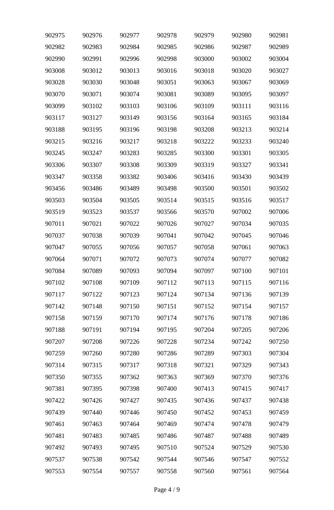| 902975 | 902976 | 902977 | 902978 | 902979 | 902980 | 902981 |
|--------|--------|--------|--------|--------|--------|--------|
| 902982 | 902983 | 902984 | 902985 | 902986 | 902987 | 902989 |
| 902990 | 902991 | 902996 | 902998 | 903000 | 903002 | 903004 |
| 903008 | 903012 | 903013 | 903016 | 903018 | 903020 | 903027 |
| 903028 | 903030 | 903048 | 903051 | 903063 | 903067 | 903069 |
| 903070 | 903071 | 903074 | 903081 | 903089 | 903095 | 903097 |
| 903099 | 903102 | 903103 | 903106 | 903109 | 903111 | 903116 |
| 903117 | 903127 | 903149 | 903156 | 903164 | 903165 | 903184 |
| 903188 | 903195 | 903196 | 903198 | 903208 | 903213 | 903214 |
| 903215 | 903216 | 903217 | 903218 | 903222 | 903233 | 903240 |
| 903245 | 903247 | 903283 | 903285 | 903300 | 903301 | 903305 |
| 903306 | 903307 | 903308 | 903309 | 903319 | 903327 | 903341 |
| 903347 | 903358 | 903382 | 903406 | 903416 | 903430 | 903439 |
| 903456 | 903486 | 903489 | 903498 | 903500 | 903501 | 903502 |
| 903503 | 903504 | 903505 | 903514 | 903515 | 903516 | 903517 |
| 903519 | 903523 | 903537 | 903566 | 903570 | 907002 | 907006 |
| 907011 | 907021 | 907022 | 907026 | 907027 | 907034 | 907035 |
| 907037 | 907038 | 907039 | 907041 | 907042 | 907045 | 907046 |
| 907047 | 907055 | 907056 | 907057 | 907058 | 907061 | 907063 |
| 907064 | 907071 | 907072 | 907073 | 907074 | 907077 | 907082 |
| 907084 | 907089 | 907093 | 907094 | 907097 | 907100 | 907101 |
| 907102 | 907108 | 907109 | 907112 | 907113 | 907115 | 907116 |
| 907117 | 907122 | 907123 | 907124 | 907134 | 907136 | 907139 |
| 907142 | 907148 | 907150 | 907151 | 907152 | 907154 | 907157 |
| 907158 | 907159 | 907170 | 907174 | 907176 | 907178 | 907186 |
| 907188 | 907191 | 907194 | 907195 | 907204 | 907205 | 907206 |
| 907207 | 907208 | 907226 | 907228 | 907234 | 907242 | 907250 |
| 907259 | 907260 | 907280 | 907286 | 907289 | 907303 | 907304 |
| 907314 | 907315 | 907317 | 907318 | 907321 | 907329 | 907343 |
| 907350 | 907355 | 907362 | 907363 | 907369 | 907370 | 907376 |
| 907381 | 907395 | 907398 | 907400 | 907413 | 907415 | 907417 |
| 907422 | 907426 | 907427 | 907435 | 907436 | 907437 | 907438 |
| 907439 | 907440 | 907446 | 907450 | 907452 | 907453 | 907459 |
| 907461 | 907463 | 907464 | 907469 | 907474 | 907478 | 907479 |
| 907481 | 907483 | 907485 | 907486 | 907487 | 907488 | 907489 |
| 907492 | 907493 | 907495 | 907510 | 907524 | 907529 | 907530 |
| 907537 | 907538 | 907542 | 907544 | 907546 | 907547 | 907552 |
| 907553 | 907554 | 907557 | 907558 | 907560 | 907561 | 907564 |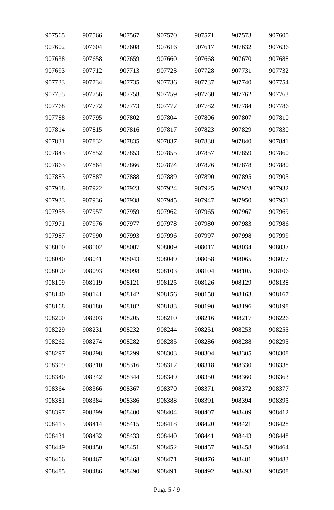| 907565 | 907566 | 907567 | 907570 | 907571 | 907573 | 907600 |
|--------|--------|--------|--------|--------|--------|--------|
| 907602 | 907604 | 907608 | 907616 | 907617 | 907632 | 907636 |
| 907638 | 907658 | 907659 | 907660 | 907668 | 907670 | 907688 |
| 907693 | 907712 | 907713 | 907723 | 907728 | 907731 | 907732 |
| 907733 | 907734 | 907735 | 907736 | 907737 | 907740 | 907754 |
| 907755 | 907756 | 907758 | 907759 | 907760 | 907762 | 907763 |
| 907768 | 907772 | 907773 | 907777 | 907782 | 907784 | 907786 |
| 907788 | 907795 | 907802 | 907804 | 907806 | 907807 | 907810 |
| 907814 | 907815 | 907816 | 907817 | 907823 | 907829 | 907830 |
| 907831 | 907832 | 907835 | 907837 | 907838 | 907840 | 907841 |
| 907843 | 907852 | 907853 | 907855 | 907857 | 907859 | 907860 |
| 907863 | 907864 | 907866 | 907874 | 907876 | 907878 | 907880 |
| 907883 | 907887 | 907888 | 907889 | 907890 | 907895 | 907905 |
| 907918 | 907922 | 907923 | 907924 | 907925 | 907928 | 907932 |
| 907933 | 907936 | 907938 | 907945 | 907947 | 907950 | 907951 |
| 907955 | 907957 | 907959 | 907962 | 907965 | 907967 | 907969 |
| 907971 | 907976 | 907977 | 907978 | 907980 | 907983 | 907986 |
| 907987 | 907990 | 907993 | 907996 | 907997 | 907998 | 907999 |
| 908000 | 908002 | 908007 | 908009 | 908017 | 908034 | 908037 |
| 908040 | 908041 | 908043 | 908049 | 908058 | 908065 | 908077 |
| 908090 | 908093 | 908098 | 908103 | 908104 | 908105 | 908106 |
| 908109 | 908119 | 908121 | 908125 | 908126 | 908129 | 908138 |
| 908140 | 908141 | 908142 | 908156 | 908158 | 908163 | 908167 |
| 908168 | 908180 | 908182 | 908183 | 908190 | 908196 | 908198 |
| 908200 | 908203 | 908205 | 908210 | 908216 | 908217 | 908226 |
| 908229 | 908231 | 908232 | 908244 | 908251 | 908253 | 908255 |
| 908262 | 908274 | 908282 | 908285 | 908286 | 908288 | 908295 |
| 908297 | 908298 | 908299 | 908303 | 908304 | 908305 | 908308 |
| 908309 | 908310 | 908316 | 908317 | 908318 | 908330 | 908338 |
| 908340 | 908342 | 908344 | 908349 | 908350 | 908360 | 908363 |
| 908364 | 908366 | 908367 | 908370 | 908371 | 908372 | 908377 |
| 908381 | 908384 | 908386 | 908388 | 908391 | 908394 | 908395 |
| 908397 | 908399 | 908400 | 908404 | 908407 | 908409 | 908412 |
| 908413 | 908414 | 908415 | 908418 | 908420 | 908421 | 908428 |
| 908431 | 908432 | 908433 | 908440 | 908441 | 908443 | 908448 |
| 908449 | 908450 | 908451 | 908452 | 908457 | 908458 | 908464 |
| 908466 | 908467 | 908468 | 908471 | 908476 | 908481 | 908483 |
| 908485 | 908486 | 908490 | 908491 | 908492 | 908493 | 908508 |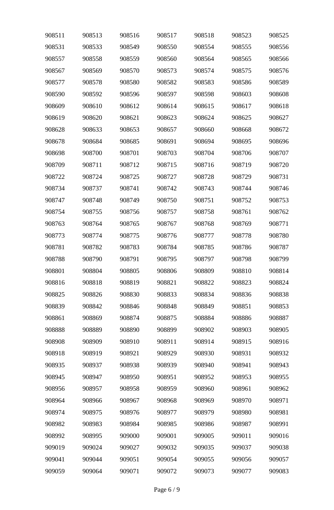| 908511 | 908513 | 908516 | 908517 | 908518 | 908523 | 908525 |
|--------|--------|--------|--------|--------|--------|--------|
| 908531 | 908533 | 908549 | 908550 | 908554 | 908555 | 908556 |
| 908557 | 908558 | 908559 | 908560 | 908564 | 908565 | 908566 |
| 908567 | 908569 | 908570 | 908573 | 908574 | 908575 | 908576 |
| 908577 | 908578 | 908580 | 908582 | 908583 | 908586 | 908589 |
| 908590 | 908592 | 908596 | 908597 | 908598 | 908603 | 908608 |
| 908609 | 908610 | 908612 | 908614 | 908615 | 908617 | 908618 |
| 908619 | 908620 | 908621 | 908623 | 908624 | 908625 | 908627 |
| 908628 | 908633 | 908653 | 908657 | 908660 | 908668 | 908672 |
| 908678 | 908684 | 908685 | 908691 | 908694 | 908695 | 908696 |
| 908698 | 908700 | 908701 | 908703 | 908704 | 908706 | 908707 |
| 908709 | 908711 | 908712 | 908715 | 908716 | 908719 | 908720 |
| 908722 | 908724 | 908725 | 908727 | 908728 | 908729 | 908731 |
| 908734 | 908737 | 908741 | 908742 | 908743 | 908744 | 908746 |
| 908747 | 908748 | 908749 | 908750 | 908751 | 908752 | 908753 |
| 908754 | 908755 | 908756 | 908757 | 908758 | 908761 | 908762 |
| 908763 | 908764 | 908765 | 908767 | 908768 | 908769 | 908771 |
| 908773 | 908774 | 908775 | 908776 | 908777 | 908778 | 908780 |
| 908781 | 908782 | 908783 | 908784 | 908785 | 908786 | 908787 |
| 908788 | 908790 | 908791 | 908795 | 908797 | 908798 | 908799 |
| 908801 | 908804 | 908805 | 908806 | 908809 | 908810 | 908814 |
| 908816 | 908818 | 908819 | 908821 | 908822 | 908823 | 908824 |
| 908825 | 908826 | 908830 | 908833 | 908834 | 908836 | 908838 |
| 908839 | 908842 | 908846 | 908848 | 908849 | 908851 | 908853 |
| 908861 | 908869 | 908874 | 908875 | 908884 | 908886 | 908887 |
| 908888 | 908889 | 908890 | 908899 | 908902 | 908903 | 908905 |
| 908908 | 908909 | 908910 | 908911 | 908914 | 908915 | 908916 |
| 908918 | 908919 | 908921 | 908929 | 908930 | 908931 | 908932 |
| 908935 | 908937 | 908938 | 908939 | 908940 | 908941 | 908943 |
| 908945 | 908947 | 908950 | 908951 | 908952 | 908953 | 908955 |
| 908956 | 908957 | 908958 | 908959 | 908960 | 908961 | 908962 |
| 908964 | 908966 | 908967 | 908968 | 908969 | 908970 | 908971 |
| 908974 | 908975 | 908976 | 908977 | 908979 | 908980 | 908981 |
| 908982 | 908983 | 908984 | 908985 | 908986 | 908987 | 908991 |
| 908992 | 908995 | 909000 | 909001 | 909005 | 909011 | 909016 |
| 909019 | 909024 | 909027 | 909032 | 909035 | 909037 | 909038 |
| 909041 | 909044 | 909051 | 909054 | 909055 | 909056 | 909057 |
| 909059 | 909064 | 909071 | 909072 | 909073 | 909077 | 909083 |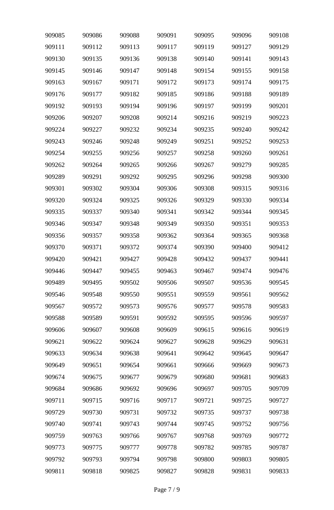| 909085 | 909086 | 909088 | 909091 | 909095 | 909096 | 909108 |
|--------|--------|--------|--------|--------|--------|--------|
| 909111 | 909112 | 909113 | 909117 | 909119 | 909127 | 909129 |
| 909130 | 909135 | 909136 | 909138 | 909140 | 909141 | 909143 |
| 909145 | 909146 | 909147 | 909148 | 909154 | 909155 | 909158 |
| 909163 | 909167 | 909171 | 909172 | 909173 | 909174 | 909175 |
| 909176 | 909177 | 909182 | 909185 | 909186 | 909188 | 909189 |
| 909192 | 909193 | 909194 | 909196 | 909197 | 909199 | 909201 |
| 909206 | 909207 | 909208 | 909214 | 909216 | 909219 | 909223 |
| 909224 | 909227 | 909232 | 909234 | 909235 | 909240 | 909242 |
| 909243 | 909246 | 909248 | 909249 | 909251 | 909252 | 909253 |
| 909254 | 909255 | 909256 | 909257 | 909258 | 909260 | 909261 |
| 909262 | 909264 | 909265 | 909266 | 909267 | 909279 | 909285 |
| 909289 | 909291 | 909292 | 909295 | 909296 | 909298 | 909300 |
| 909301 | 909302 | 909304 | 909306 | 909308 | 909315 | 909316 |
| 909320 | 909324 | 909325 | 909326 | 909329 | 909330 | 909334 |
| 909335 | 909337 | 909340 | 909341 | 909342 | 909344 | 909345 |
| 909346 | 909347 | 909348 | 909349 | 909350 | 909351 | 909353 |
| 909356 | 909357 | 909358 | 909362 | 909364 | 909365 | 909368 |
| 909370 | 909371 | 909372 | 909374 | 909390 | 909400 | 909412 |
| 909420 | 909421 | 909427 | 909428 | 909432 | 909437 | 909441 |
| 909446 | 909447 | 909455 | 909463 | 909467 | 909474 | 909476 |
| 909489 | 909495 | 909502 | 909506 | 909507 | 909536 | 909545 |
| 909546 | 909548 | 909550 | 909551 | 909559 | 909561 | 909562 |
| 909567 | 909572 | 909573 | 909576 | 909577 | 909578 | 909583 |
| 909588 | 909589 | 909591 | 909592 | 909595 | 909596 | 909597 |
| 909606 | 909607 | 909608 | 909609 | 909615 | 909616 | 909619 |
| 909621 | 909622 | 909624 | 909627 | 909628 | 909629 | 909631 |
| 909633 | 909634 | 909638 | 909641 | 909642 | 909645 | 909647 |
| 909649 | 909651 | 909654 | 909661 | 909666 | 909669 | 909673 |
| 909674 | 909675 | 909677 | 909679 | 909680 | 909681 | 909683 |
| 909684 | 909686 | 909692 | 909696 | 909697 | 909705 | 909709 |
| 909711 | 909715 | 909716 | 909717 | 909721 | 909725 | 909727 |
| 909729 | 909730 | 909731 | 909732 | 909735 | 909737 | 909738 |
| 909740 | 909741 | 909743 | 909744 | 909745 | 909752 | 909756 |
| 909759 | 909763 | 909766 | 909767 | 909768 | 909769 | 909772 |
| 909773 | 909775 | 909777 | 909778 | 909782 | 909785 | 909787 |
| 909792 | 909793 | 909794 | 909798 | 909800 | 909803 | 909805 |
| 909811 | 909818 | 909825 | 909827 | 909828 | 909831 | 909833 |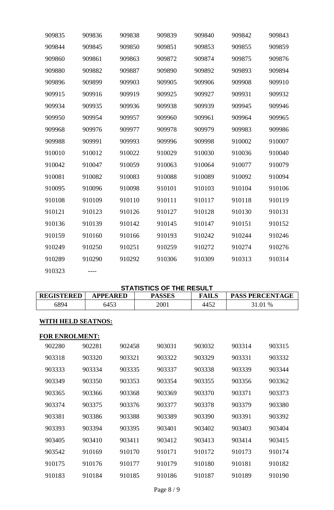| 909835 | 909836 | 909838 | 909839 | 909840 | 909842 | 909843 |
|--------|--------|--------|--------|--------|--------|--------|
| 909844 | 909845 | 909850 | 909851 | 909853 | 909855 | 909859 |
| 909860 | 909861 | 909863 | 909872 | 909874 | 909875 | 909876 |
| 909880 | 909882 | 909887 | 909890 | 909892 | 909893 | 909894 |
| 909896 | 909899 | 909903 | 909905 | 909906 | 909908 | 909910 |
| 909915 | 909916 | 909919 | 909925 | 909927 | 909931 | 909932 |
| 909934 | 909935 | 909936 | 909938 | 909939 | 909945 | 909946 |
| 909950 | 909954 | 909957 | 909960 | 909961 | 909964 | 909965 |
| 909968 | 909976 | 909977 | 909978 | 909979 | 909983 | 909986 |
| 909988 | 909991 | 909993 | 909996 | 909998 | 910002 | 910007 |
| 910010 | 910012 | 910022 | 910029 | 910030 | 910036 | 910040 |
| 910042 | 910047 | 910059 | 910063 | 910064 | 910077 | 910079 |
| 910081 | 910082 | 910083 | 910088 | 910089 | 910092 | 910094 |
| 910095 | 910096 | 910098 | 910101 | 910103 | 910104 | 910106 |
| 910108 | 910109 | 910110 | 910111 | 910117 | 910118 | 910119 |
| 910121 | 910123 | 910126 | 910127 | 910128 | 910130 | 910131 |
| 910136 | 910139 | 910142 | 910145 | 910147 | 910151 | 910152 |
| 910159 | 910160 | 910166 | 910193 | 910242 | 910244 | 910246 |
| 910249 | 910250 | 910251 | 910259 | 910272 | 910274 | 910276 |
| 910289 | 910290 | 910292 | 910306 | 910309 | 910313 | 910314 |
| 910323 |        |        |        |        |        |        |

| <b>STATISTICS OF THE RESULT</b> |                 |               |              |                        |  |  |  |  |
|---------------------------------|-----------------|---------------|--------------|------------------------|--|--|--|--|
| <b>REGISTERED</b>               | <b>APPEARED</b> | <b>PASSES</b> | <b>FAILS</b> | <b>PASS PERCENTAGE</b> |  |  |  |  |
| 6894                            | 6453            | 2001          | 4452         | 31.01 %                |  |  |  |  |
|                                 |                 |               |              |                        |  |  |  |  |

# **WITH HELD SEATNOS:**

## **FOR ENROLMENT:**

| 902280 | 902281 | 902458 | 903031 | 903032 | 903314 | 903315 |
|--------|--------|--------|--------|--------|--------|--------|
| 903318 | 903320 | 903321 | 903322 | 903329 | 903331 | 903332 |
| 903333 | 903334 | 903335 | 903337 | 903338 | 903339 | 903344 |
| 903349 | 903350 | 903353 | 903354 | 903355 | 903356 | 903362 |
| 903365 | 903366 | 903368 | 903369 | 903370 | 903371 | 903373 |
| 903374 | 903375 | 903376 | 903377 | 903378 | 903379 | 903380 |
| 903381 | 903386 | 903388 | 903389 | 903390 | 903391 | 903392 |
| 903393 | 903394 | 903395 | 903401 | 903402 | 903403 | 903404 |
| 903405 | 903410 | 903411 | 903412 | 903413 | 903414 | 903415 |
| 903542 | 910169 | 910170 | 910171 | 910172 | 910173 | 910174 |
| 910175 | 910176 | 910177 | 910179 | 910180 | 910181 | 910182 |
| 910183 | 910184 | 910185 | 910186 | 910187 | 910189 | 910190 |